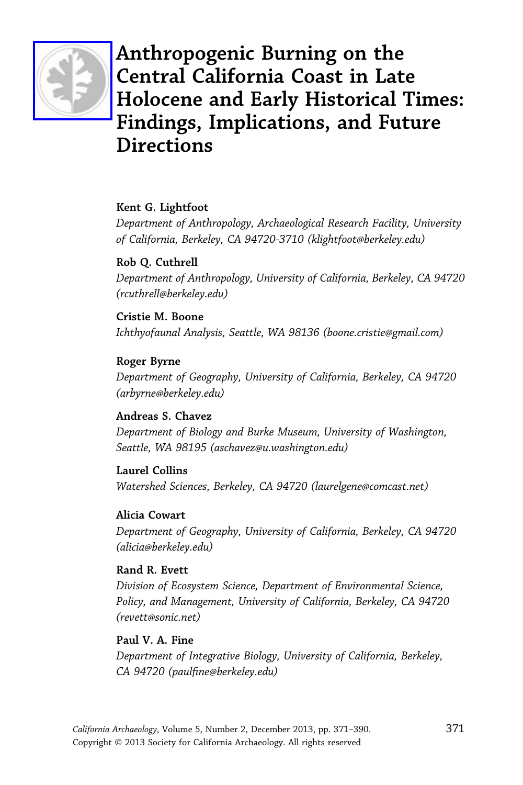

Anthropogenic Burning on the Central California Coast in Late Holocene and Early Historical Times: Findings, Implications, and Future **Directions** 

Kent G. Lightfoot

Department of Anthropology, Archaeological Research Facility, University of California, Berkeley, CA 94720-3710 [\(klightfoot@berkeley.edu\)](mailto:klightfoot@berkeley.edu)

Rob Q. Cuthrell Department of Anthropology, University of California, Berkeley, CA 94720 [\(rcuthrell@berkeley.edu\)](mailto:rcuthrell@berkeley.edu)

Cristie M. Boone Ichthyofaunal Analysis, Seattle, WA 98136 [\(boone.cristie@gmail.com\)](mailto:boone.cristie@gmail.com)

Roger Byrne Department of Geography, University of California, Berkeley, CA 94720 [\(arbyrne@berkeley.edu\)](mailto:arbyrne@berkeley.edu)

Andreas S. Chavez Department of Biology and Burke Museum, University of Washington, Seattle, WA 98195 [\(aschavez@u.washington.edu](mailto:aschavez@u.washington.edu))

Laurel Collins Watershed Sciences, Berkeley, CA 94720 [\(laurelgene@comcast.net](mailto:laurelgene@comcast.net))

## Alicia Cowart

Department of Geography, University of California, Berkeley, CA 94720 [\(alicia@berkeley.edu\)](mailto:alicia@berkeley.edu)

Rand R. Evett

Division of Ecosystem Science, Department of Environmental Science, Policy, and Management, University of California, Berkeley, CA 94720 [\(revett@sonic.net](mailto:revett@sonic.net))

Paul V. A. Fine

Department of Integrative Biology, University of California, Berkeley, CA 94720 (paulfi[ne@berkeley.edu](mailto:paulfine@berkeley.edu))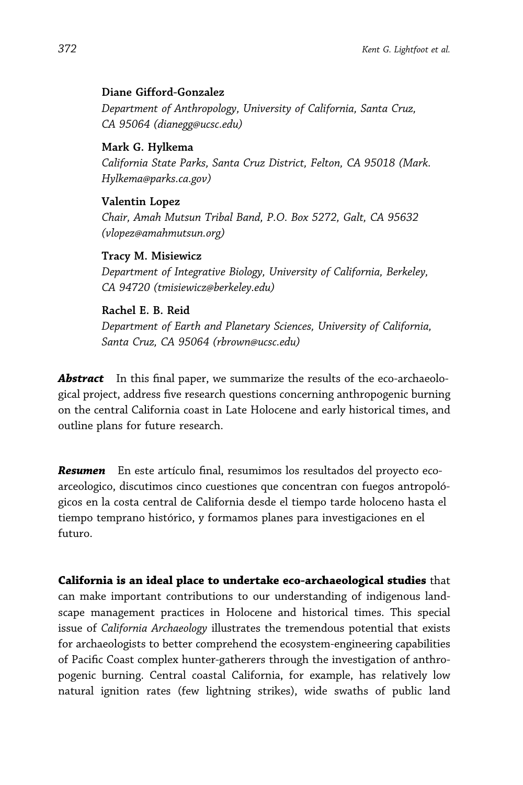Diane Gifford-Gonzalez Department of Anthropology, University of California, Santa Cruz, CA 95064 [\(dianegg@ucsc.edu\)](mailto:dianegg@ucsc.edu)

Mark G. Hylkema California State Parks, Santa Cruz District, Felton, CA 95018 ([Mark.](mailto:Mark.Hylkema@parks.ca.gov) [Hylkema@parks.ca.gov](mailto:Mark.Hylkema@parks.ca.gov))

# Valentin Lopez

Chair, Amah Mutsun Tribal Band, P.O. Box 5272, Galt, CA 95632 [\(vlopez@amahmutsun.org](mailto:vlopez@�amahmutsun.org))

Tracy M. Misiewicz Department of Integrative Biology, University of California, Berkeley, CA 94720 [\(tmisiewicz@berkeley.edu\)](mailto:tmisiewicz@berkeley.edu)

Rachel E. B. Reid

Department of Earth and Planetary Sciences, University of California, Santa Cruz, CA 95064 [\(rbrown@ucsc.edu](mailto:rbrown@ucsc.edu))

**Abstract** In this final paper, we summarize the results of the eco-archaeological project, address five research questions concerning anthropogenic burning on the central California coast in Late Holocene and early historical times, and outline plans for future research.

Resumen En este artículo final, resumimos los resultados del proyecto ecoarceologico, discutimos cinco cuestiones que concentran con fuegos antropológicos en la costa central de California desde el tiempo tarde holoceno hasta el tiempo temprano histórico, y formamos planes para investigaciones en el futuro.

California is an ideal place to undertake eco-archaeological studies that can make important contributions to our understanding of indigenous landscape management practices in Holocene and historical times. This special issue of California Archaeology illustrates the tremendous potential that exists for archaeologists to better comprehend the ecosystem-engineering capabilities of Pacific Coast complex hunter-gatherers through the investigation of anthropogenic burning. Central coastal California, for example, has relatively low natural ignition rates (few lightning strikes), wide swaths of public land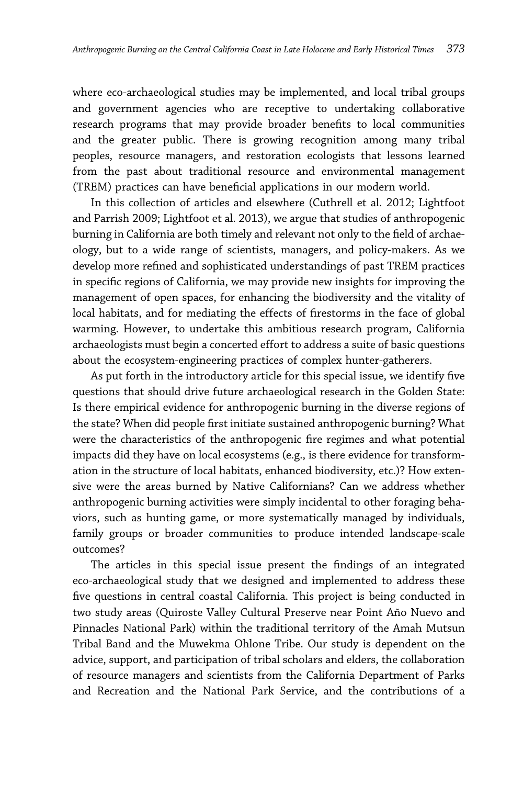where eco-archaeological studies may be implemented, and local tribal groups and government agencies who are receptive to undertaking collaborative research programs that may provide broader benefits to local communities and the greater public. There is growing recognition among many tribal peoples, resource managers, and restoration ecologists that lessons learned from the past about traditional resource and environmental management (TREM) practices can have beneficial applications in our modern world.

In this collection of articles and elsewhere [\(Cuthrell et al. 2012; Lightfoot](#page-18-0) [and Parrish 2009; Lightfoot et al. 2013\)](#page-18-0), we argue that studies of anthropogenic burning in California are both timely and relevant not only to the field of archaeology, but to a wide range of scientists, managers, and policy-makers. As we develop more refined and sophisticated understandings of past TREM practices in specific regions of California, we may provide new insights for improving the management of open spaces, for enhancing the biodiversity and the vitality of local habitats, and for mediating the effects of firestorms in the face of global warming. However, to undertake this ambitious research program, California archaeologists must begin a concerted effort to address a suite of basic questions about the ecosystem-engineering practices of complex hunter-gatherers.

As put forth in the introductory article for this special issue, we identify five questions that should drive future archaeological research in the Golden State: Is there empirical evidence for anthropogenic burning in the diverse regions of the state? When did people first initiate sustained anthropogenic burning? What were the characteristics of the anthropogenic fire regimes and what potential impacts did they have on local ecosystems (e.g., is there evidence for transformation in the structure of local habitats, enhanced biodiversity, etc.)? How extensive were the areas burned by Native Californians? Can we address whether anthropogenic burning activities were simply incidental to other foraging behaviors, such as hunting game, or more systematically managed by individuals, family groups or broader communities to produce intended landscape-scale outcomes?

The articles in this special issue present the findings of an integrated eco-archaeological study that we designed and implemented to address these five questions in central coastal California. This project is being conducted in two study areas (Quiroste Valley Cultural Preserve near Point Año Nuevo and Pinnacles National Park) within the traditional territory of the Amah Mutsun Tribal Band and the Muwekma Ohlone Tribe. Our study is dependent on the advice, support, and participation of tribal scholars and elders, the collaboration of resource managers and scientists from the California Department of Parks and Recreation and the National Park Service, and the contributions of a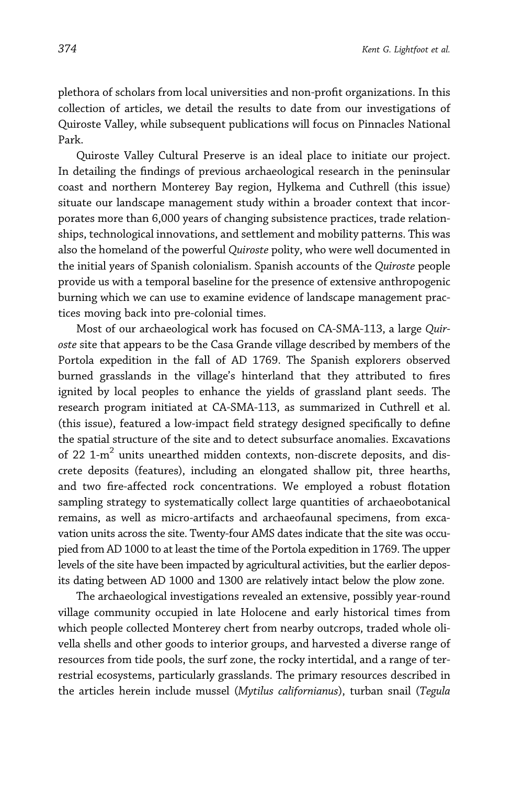plethora of scholars from local universities and non-profit organizations. In this collection of articles, we detail the results to date from our investigations of Quiroste Valley, while subsequent publications will focus on Pinnacles National Park.

Quiroste Valley Cultural Preserve is an ideal place to initiate our project. In detailing the findings of previous archaeological research in the peninsular coast and northern Monterey Bay region, Hylkema and Cuthrell (this issue) situate our landscape management study within a broader context that incorporates more than 6,000 years of changing subsistence practices, trade relationships, technological innovations, and settlement and mobility patterns. This was also the homeland of the powerful Quiroste polity, who were well documented in the initial years of Spanish colonialism. Spanish accounts of the Quiroste people provide us with a temporal baseline for the presence of extensive anthropogenic burning which we can use to examine evidence of landscape management practices moving back into pre-colonial times.

Most of our archaeological work has focused on CA-SMA-113, a large Quiroste site that appears to be the Casa Grande village described by members of the Portola expedition in the fall of AD 1769. The Spanish explorers observed burned grasslands in the village's hinterland that they attributed to fires ignited by local peoples to enhance the yields of grassland plant seeds. The research program initiated at CA-SMA-113, as summarized in Cuthrell et al. (this issue), featured a low-impact field strategy designed specifically to define the spatial structure of the site and to detect subsurface anomalies. Excavations of 22  $1-m^2$  units unearthed midden contexts, non-discrete deposits, and discrete deposits (features), including an elongated shallow pit, three hearths, and two fire-affected rock concentrations. We employed a robust flotation sampling strategy to systematically collect large quantities of archaeobotanical remains, as well as micro-artifacts and archaeofaunal specimens, from excavation units across the site. Twenty-four AMS dates indicate that the site was occupied from AD 1000 to at least the time of the Portola expedition in 1769. The upper levels of the site have been impacted by agricultural activities, but the earlier deposits dating between AD 1000 and 1300 are relatively intact below the plow zone.

The archaeological investigations revealed an extensive, possibly year-round village community occupied in late Holocene and early historical times from which people collected Monterey chert from nearby outcrops, traded whole olivella shells and other goods to interior groups, and harvested a diverse range of resources from tide pools, the surf zone, the rocky intertidal, and a range of terrestrial ecosystems, particularly grasslands. The primary resources described in the articles herein include mussel (Mytilus californianus), turban snail (Tegula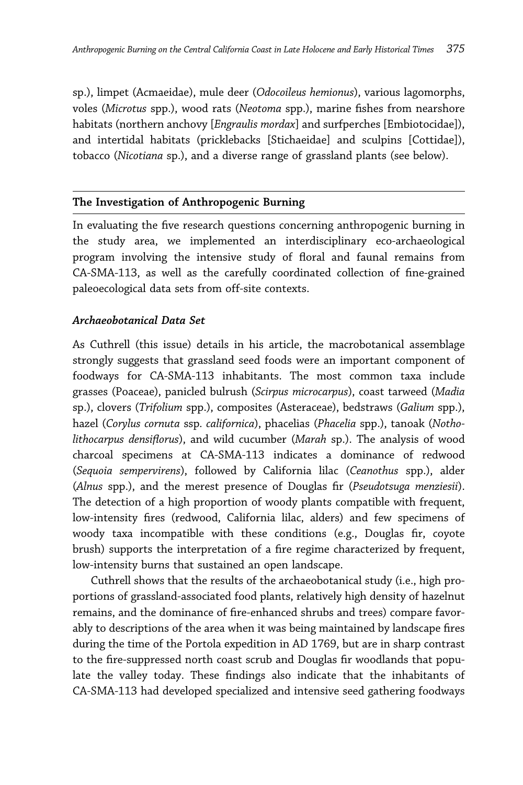sp.), limpet (Acmaeidae), mule deer (Odocoileus hemionus), various lagomorphs, voles (Microtus spp.), wood rats (Neotoma spp.), marine fishes from nearshore habitats (northern anchovy [*Engraulis mordax*] and surfperches [Embiotocidae]), and intertidal habitats (pricklebacks [Stichaeidae] and sculpins [Cottidae]), tobacco (Nicotiana sp.), and a diverse range of grassland plants (see below).

## The Investigation of Anthropogenic Burning

In evaluating the five research questions concerning anthropogenic burning in the study area, we implemented an interdisciplinary eco-archaeological program involving the intensive study of floral and faunal remains from CA-SMA-113, as well as the carefully coordinated collection of fine-grained paleoecological data sets from off-site contexts.

## Archaeobotanical Data Set

As Cuthrell (this issue) details in his article, the macrobotanical assemblage strongly suggests that grassland seed foods were an important component of foodways for CA-SMA-113 inhabitants. The most common taxa include grasses (Poaceae), panicled bulrush (Scirpus microcarpus), coast tarweed (Madia sp.), clovers (Trifolium spp.), composites (Asteraceae), bedstraws (Galium spp.), hazel (Corylus cornuta ssp. californica), phacelias (Phacelia spp.), tanoak (Notholithocarpus densiflorus), and wild cucumber (Marah sp.). The analysis of wood charcoal specimens at CA-SMA-113 indicates a dominance of redwood (Sequoia sempervirens), followed by California lilac (Ceanothus spp.), alder (Alnus spp.), and the merest presence of Douglas fir (Pseudotsuga menziesii). The detection of a high proportion of woody plants compatible with frequent, low-intensity fires (redwood, California lilac, alders) and few specimens of woody taxa incompatible with these conditions (e.g., Douglas fir, coyote brush) supports the interpretation of a fire regime characterized by frequent, low-intensity burns that sustained an open landscape.

Cuthrell shows that the results of the archaeobotanical study (i.e., high proportions of grassland-associated food plants, relatively high density of hazelnut remains, and the dominance of fire-enhanced shrubs and trees) compare favorably to descriptions of the area when it was being maintained by landscape fires during the time of the Portola expedition in AD 1769, but are in sharp contrast to the fire-suppressed north coast scrub and Douglas fir woodlands that populate the valley today. These findings also indicate that the inhabitants of CA-SMA-113 had developed specialized and intensive seed gathering foodways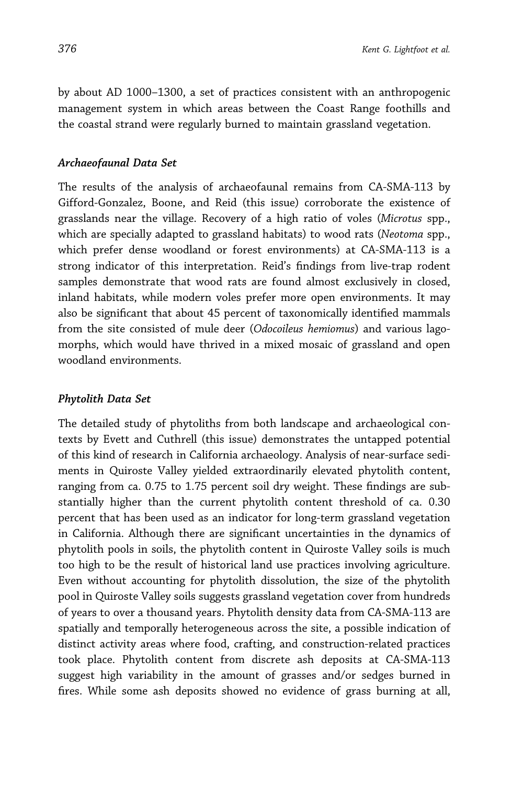by about AD 1000–1300, a set of practices consistent with an anthropogenic management system in which areas between the Coast Range foothills and the coastal strand were regularly burned to maintain grassland vegetation.

### Archaeofaunal Data Set

The results of the analysis of archaeofaunal remains from CA-SMA-113 by Gifford-Gonzalez, Boone, and Reid (this issue) corroborate the existence of grasslands near the village. Recovery of a high ratio of voles (Microtus spp., which are specially adapted to grassland habitats) to wood rats (Neotoma spp., which prefer dense woodland or forest environments) at CA-SMA-113 is a strong indicator of this interpretation. Reid's findings from live-trap rodent samples demonstrate that wood rats are found almost exclusively in closed, inland habitats, while modern voles prefer more open environments. It may also be significant that about 45 percent of taxonomically identified mammals from the site consisted of mule deer (Odocoileus hemiomus) and various lagomorphs, which would have thrived in a mixed mosaic of grassland and open woodland environments.

## Phytolith Data Set

The detailed study of phytoliths from both landscape and archaeological contexts by Evett and Cuthrell (this issue) demonstrates the untapped potential of this kind of research in California archaeology. Analysis of near-surface sediments in Quiroste Valley yielded extraordinarily elevated phytolith content, ranging from ca. 0.75 to 1.75 percent soil dry weight. These findings are substantially higher than the current phytolith content threshold of ca. 0.30 percent that has been used as an indicator for long-term grassland vegetation in California. Although there are significant uncertainties in the dynamics of phytolith pools in soils, the phytolith content in Quiroste Valley soils is much too high to be the result of historical land use practices involving agriculture. Even without accounting for phytolith dissolution, the size of the phytolith pool in Quiroste Valley soils suggests grassland vegetation cover from hundreds of years to over a thousand years. Phytolith density data from CA-SMA-113 are spatially and temporally heterogeneous across the site, a possible indication of distinct activity areas where food, crafting, and construction-related practices took place. Phytolith content from discrete ash deposits at CA-SMA-113 suggest high variability in the amount of grasses and/or sedges burned in fires. While some ash deposits showed no evidence of grass burning at all,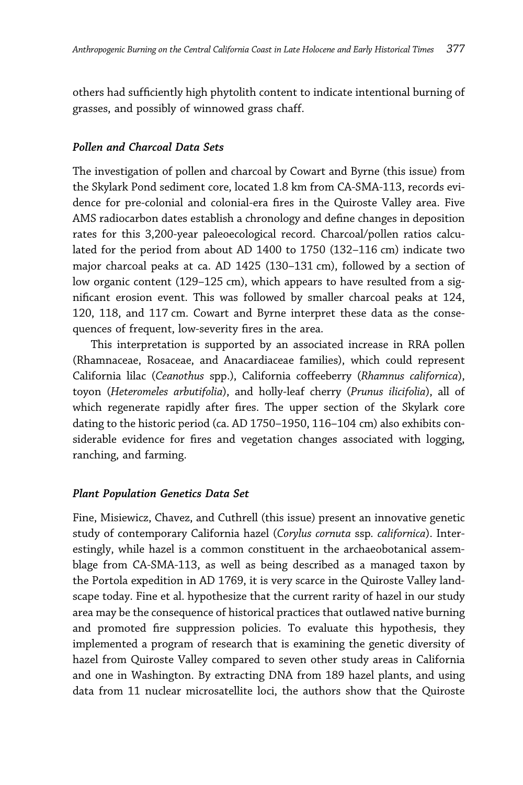others had sufficiently high phytolith content to indicate intentional burning of grasses, and possibly of winnowed grass chaff.

## Pollen and Charcoal Data Sets

The investigation of pollen and charcoal by Cowart and Byrne (this issue) from the Skylark Pond sediment core, located 1.8 km from CA-SMA-113, records evidence for pre-colonial and colonial-era fires in the Quiroste Valley area. Five AMS radiocarbon dates establish a chronology and define changes in deposition rates for this 3,200-year paleoecological record. Charcoal/pollen ratios calculated for the period from about AD 1400 to 1750 (132–116 cm) indicate two major charcoal peaks at ca. AD 1425 (130–131 cm), followed by a section of low organic content (129–125 cm), which appears to have resulted from a significant erosion event. This was followed by smaller charcoal peaks at 124, 120, 118, and 117 cm. Cowart and Byrne interpret these data as the consequences of frequent, low-severity fires in the area.

This interpretation is supported by an associated increase in RRA pollen (Rhamnaceae, Rosaceae, and Anacardiaceae families), which could represent California lilac (Ceanothus spp.), California coffeeberry (Rhamnus californica), toyon (Heteromeles arbutifolia), and holly-leaf cherry (Prunus ilicifolia), all of which regenerate rapidly after fires. The upper section of the Skylark core dating to the historic period (ca. AD 1750–1950, 116–104 cm) also exhibits considerable evidence for fires and vegetation changes associated with logging, ranching, and farming.

## Plant Population Genetics Data Set

Fine, Misiewicz, Chavez, and Cuthrell (this issue) present an innovative genetic study of contemporary California hazel (Corylus cornuta ssp. californica). Interestingly, while hazel is a common constituent in the archaeobotanical assemblage from CA-SMA-113, as well as being described as a managed taxon by the Portola expedition in AD 1769, it is very scarce in the Quiroste Valley landscape today. Fine et al. hypothesize that the current rarity of hazel in our study area may be the consequence of historical practices that outlawed native burning and promoted fire suppression policies. To evaluate this hypothesis, they implemented a program of research that is examining the genetic diversity of hazel from Quiroste Valley compared to seven other study areas in California and one in Washington. By extracting DNA from 189 hazel plants, and using data from 11 nuclear microsatellite loci, the authors show that the Quiroste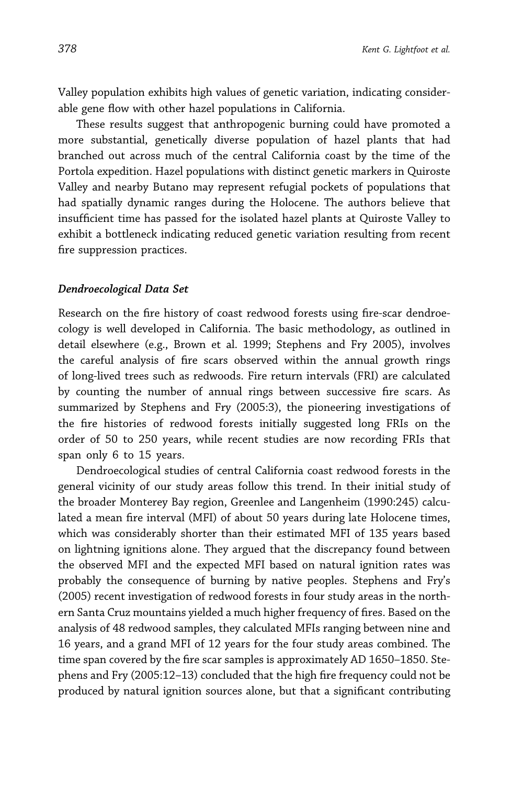Valley population exhibits high values of genetic variation, indicating considerable gene flow with other hazel populations in California.

These results suggest that anthropogenic burning could have promoted a more substantial, genetically diverse population of hazel plants that had branched out across much of the central California coast by the time of the Portola expedition. Hazel populations with distinct genetic markers in Quiroste Valley and nearby Butano may represent refugial pockets of populations that had spatially dynamic ranges during the Holocene. The authors believe that insufficient time has passed for the isolated hazel plants at Quiroste Valley to exhibit a bottleneck indicating reduced genetic variation resulting from recent fire suppression practices.

#### Dendroecological Data Set

Research on the fire history of coast redwood forests using fire-scar dendroecology is well developed in California. The basic methodology, as outlined in detail elsewhere (e.g., [Brown et al. 1999;](#page-18-0) [Stephens and Fry 2005\)](#page-19-0), involves the careful analysis of fire scars observed within the annual growth rings of long-lived trees such as redwoods. Fire return intervals (FRI) are calculated by counting the number of annual rings between successive fire scars. As summarized by [Stephens and Fry \(2005](#page-19-0):3), the pioneering investigations of the fire histories of redwood forests initially suggested long FRIs on the order of 50 to 250 years, while recent studies are now recording FRIs that span only 6 to 15 years.

Dendroecological studies of central California coast redwood forests in the general vicinity of our study areas follow this trend. In their initial study of the broader Monterey Bay region, [Greenlee and Langenheim \(1990:](#page-18-0)245) calculated a mean fire interval (MFI) of about 50 years during late Holocene times, which was considerably shorter than their estimated MFI of 135 years based on lightning ignitions alone. They argued that the discrepancy found between the observed MFI and the expected MFI based on natural ignition rates was probably the consequence of burning by native peoples. Stephens and Fry's (2005) recent investigation of redwood forests in four study areas in the northern Santa Cruz mountains yielded a much higher frequency of fires. Based on the analysis of 48 redwood samples, they calculated MFIs ranging between nine and 16 years, and a grand MFI of 12 years for the four study areas combined. The time span covered by the fire scar samples is approximately AD 1650–1850. [Ste](#page-19-0)[phens and Fry \(2005:](#page-19-0)12–13) concluded that the high fire frequency could not be produced by natural ignition sources alone, but that a significant contributing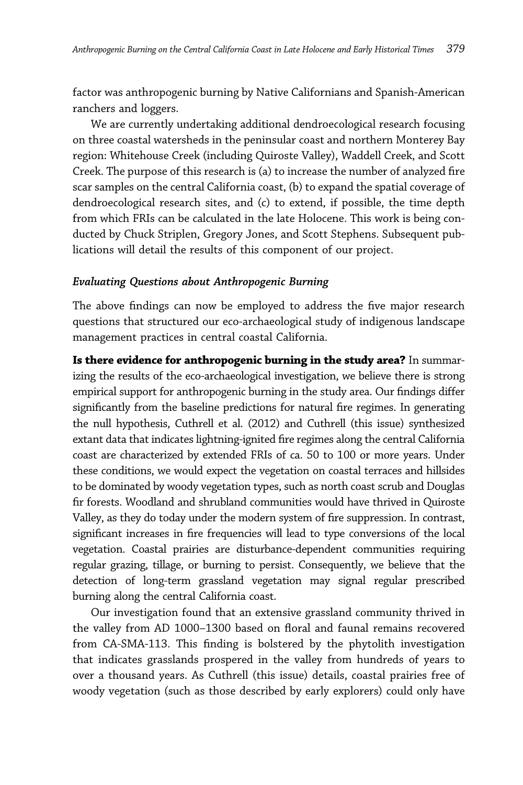factor was anthropogenic burning by Native Californians and Spanish-American ranchers and loggers.

We are currently undertaking additional dendroecological research focusing on three coastal watersheds in the peninsular coast and northern Monterey Bay region: Whitehouse Creek (including Quiroste Valley), Waddell Creek, and Scott Creek. The purpose of this research is (a) to increase the number of analyzed fire scar samples on the central California coast, (b) to expand the spatial coverage of dendroecological research sites, and (c) to extend, if possible, the time depth from which FRIs can be calculated in the late Holocene. This work is being conducted by Chuck Striplen, Gregory Jones, and Scott Stephens. Subsequent publications will detail the results of this component of our project.

#### Evaluating Questions about Anthropogenic Burning

The above findings can now be employed to address the five major research questions that structured our eco-archaeological study of indigenous landscape management practices in central coastal California.

Is there evidence for anthropogenic burning in the study area? In summarizing the results of the eco-archaeological investigation, we believe there is strong empirical support for anthropogenic burning in the study area. Our findings differ significantly from the baseline predictions for natural fire regimes. In generating the null hypothesis, [Cuthrell et al. \(2012\)](#page-18-0) and Cuthrell (this issue) synthesized extant data that indicates lightning-ignited fire regimes along the central California coast are characterized by extended FRIs of ca. 50 to 100 or more years. Under these conditions, we would expect the vegetation on coastal terraces and hillsides to be dominated by woody vegetation types, such as north coast scrub and Douglas fir forests. Woodland and shrubland communities would have thrived in Quiroste Valley, as they do today under the modern system of fire suppression. In contrast, significant increases in fire frequencies will lead to type conversions of the local vegetation. Coastal prairies are disturbance-dependent communities requiring regular grazing, tillage, or burning to persist. Consequently, we believe that the detection of long-term grassland vegetation may signal regular prescribed burning along the central California coast.

Our investigation found that an extensive grassland community thrived in the valley from AD 1000–1300 based on floral and faunal remains recovered from CA-SMA-113. This finding is bolstered by the phytolith investigation that indicates grasslands prospered in the valley from hundreds of years to over a thousand years. As Cuthrell (this issue) details, coastal prairies free of woody vegetation (such as those described by early explorers) could only have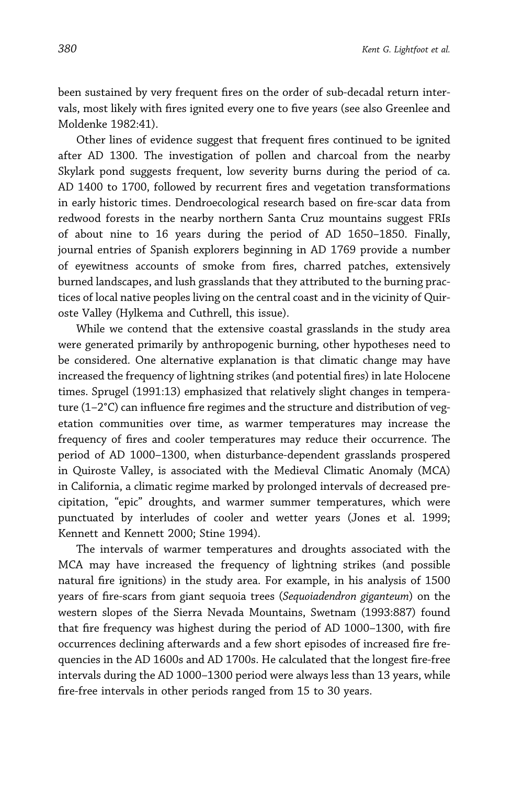been sustained by very frequent fires on the order of sub-decadal return intervals, most likely with fires ignited every one to five years (see also [Greenlee and](#page-18-0) [Moldenke 1982](#page-18-0):41).

Other lines of evidence suggest that frequent fires continued to be ignited after AD 1300. The investigation of pollen and charcoal from the nearby Skylark pond suggests frequent, low severity burns during the period of ca. AD 1400 to 1700, followed by recurrent fires and vegetation transformations in early historic times. Dendroecological research based on fire-scar data from redwood forests in the nearby northern Santa Cruz mountains suggest FRIs of about nine to 16 years during the period of AD 1650–1850. Finally, journal entries of Spanish explorers beginning in AD 1769 provide a number of eyewitness accounts of smoke from fires, charred patches, extensively burned landscapes, and lush grasslands that they attributed to the burning practices of local native peoples living on the central coast and in the vicinity of Quiroste Valley (Hylkema and Cuthrell, this issue).

While we contend that the extensive coastal grasslands in the study area were generated primarily by anthropogenic burning, other hypotheses need to be considered. One alternative explanation is that climatic change may have increased the frequency of lightning strikes (and potential fires) in late Holocene times. [Sprugel \(1991](#page-19-0):13) emphasized that relatively slight changes in temperature (1–2°C) can influence fire regimes and the structure and distribution of vegetation communities over time, as warmer temperatures may increase the frequency of fires and cooler temperatures may reduce their occurrence. The period of AD 1000–1300, when disturbance-dependent grasslands prospered in Quiroste Valley, is associated with the Medieval Climatic Anomaly (MCA) in California, a climatic regime marked by prolonged intervals of decreased precipitation, "epic" droughts, and warmer summer temperatures, which were punctuated by interludes of cooler and wetter years [\(Jones et al. 1999;](#page-18-0) [Kennett and Kennett 2000](#page-18-0); [Stine 1994\)](#page-19-0).

The intervals of warmer temperatures and droughts associated with the MCA may have increased the frequency of lightning strikes (and possible natural fire ignitions) in the study area. For example, in his analysis of 1500 years of fire-scars from giant sequoia trees (Sequoiadendron giganteum) on the western slopes of the Sierra Nevada Mountains, [Swetnam \(1993](#page-19-0):887) found that fire frequency was highest during the period of AD 1000–1300, with fire occurrences declining afterwards and a few short episodes of increased fire frequencies in the AD 1600s and AD 1700s. He calculated that the longest fire-free intervals during the AD 1000–1300 period were always less than 13 years, while fire-free intervals in other periods ranged from 15 to 30 years.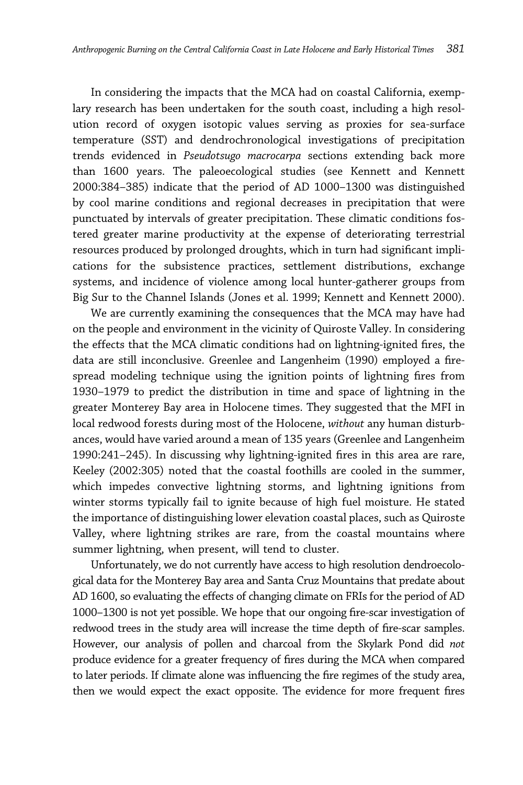In considering the impacts that the MCA had on coastal California, exemplary research has been undertaken for the south coast, including a high resolution record of oxygen isotopic values serving as proxies for sea-surface temperature (SST) and dendrochronological investigations of precipitation trends evidenced in Pseudotsugo macrocarpa sections extending back more than 1600 years. The paleoecological studies (see [Kennett and Kennett](#page-18-0) [2000:](#page-18-0)384–385) indicate that the period of AD 1000–1300 was distinguished by cool marine conditions and regional decreases in precipitation that were punctuated by intervals of greater precipitation. These climatic conditions fostered greater marine productivity at the expense of deteriorating terrestrial resources produced by prolonged droughts, which in turn had significant implications for the subsistence practices, settlement distributions, exchange systems, and incidence of violence among local hunter-gatherer groups from Big Sur to the Channel Islands ([Jones et al. 1999](#page-18-0); [Kennett and Kennett 2000](#page-18-0)).

We are currently examining the consequences that the MCA may have had on the people and environment in the vicinity of Quiroste Valley. In considering the effects that the MCA climatic conditions had on lightning-ignited fires, the data are still inconclusive. [Greenlee and Langenheim \(1990\)](#page-18-0) employed a firespread modeling technique using the ignition points of lightning fires from 1930–1979 to predict the distribution in time and space of lightning in the greater Monterey Bay area in Holocene times. They suggested that the MFI in local redwood forests during most of the Holocene, without any human disturbances, would have varied around a mean of 135 years ([Greenlee and Langenheim](#page-18-0) [1990:](#page-18-0)241–245). In discussing why lightning-ignited fires in this area are rare, [Keeley \(2002](#page-18-0):305) noted that the coastal foothills are cooled in the summer, which impedes convective lightning storms, and lightning ignitions from winter storms typically fail to ignite because of high fuel moisture. He stated the importance of distinguishing lower elevation coastal places, such as Quiroste Valley, where lightning strikes are rare, from the coastal mountains where summer lightning, when present, will tend to cluster.

Unfortunately, we do not currently have access to high resolution dendroecological data for the Monterey Bay area and Santa Cruz Mountains that predate about AD 1600, so evaluating the effects of changing climate on FRIs for the period of AD 1000–1300 is not yet possible. We hope that our ongoing fire-scar investigation of redwood trees in the study area will increase the time depth of fire-scar samples. However, our analysis of pollen and charcoal from the Skylark Pond did not produce evidence for a greater frequency of fires during the MCA when compared to later periods. If climate alone was influencing the fire regimes of the study area, then we would expect the exact opposite. The evidence for more frequent fires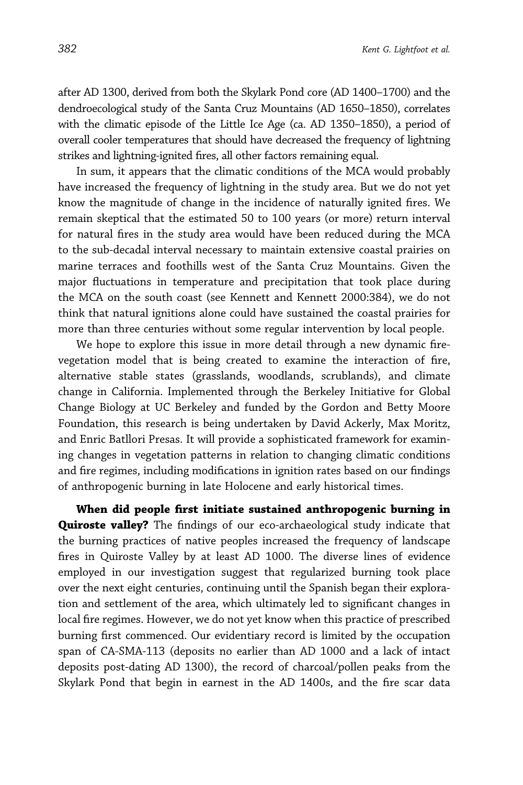after AD 1300, derived from both the Skylark Pond core (AD 1400–1700) and the dendroecological study of the Santa Cruz Mountains (AD 1650–1850), correlates with the climatic episode of the Little Ice Age (ca. AD 1350–1850), a period of overall cooler temperatures that should have decreased the frequency of lightning strikes and lightning-ignited fires, all other factors remaining equal.

In sum, it appears that the climatic conditions of the MCA would probably have increased the frequency of lightning in the study area. But we do not yet know the magnitude of change in the incidence of naturally ignited fires. We remain skeptical that the estimated 50 to 100 years (or more) return interval for natural fires in the study area would have been reduced during the MCA to the sub-decadal interval necessary to maintain extensive coastal prairies on marine terraces and foothills west of the Santa Cruz Mountains. Given the major fluctuations in temperature and precipitation that took place during the MCA on the south coast (see [Kennett and Kennett 2000:](#page-18-0)384), we do not think that natural ignitions alone could have sustained the coastal prairies for more than three centuries without some regular intervention by local people.

We hope to explore this issue in more detail through a new dynamic firevegetation model that is being created to examine the interaction of fire, alternative stable states (grasslands, woodlands, scrublands), and climate change in California. Implemented through the Berkeley Initiative for Global Change Biology at UC Berkeley and funded by the Gordon and Betty Moore Foundation, this research is being undertaken by David Ackerly, Max Moritz, and Enric Batllori Presas. It will provide a sophisticated framework for examining changes in vegetation patterns in relation to changing climatic conditions and fire regimes, including modifications in ignition rates based on our findings of anthropogenic burning in late Holocene and early historical times.

When did people first initiate sustained anthropogenic burning in **Quiroste valley?** The findings of our eco-archaeological study indicate that the burning practices of native peoples increased the frequency of landscape fires in Quiroste Valley by at least AD 1000. The diverse lines of evidence employed in our investigation suggest that regularized burning took place over the next eight centuries, continuing until the Spanish began their exploration and settlement of the area, which ultimately led to significant changes in local fire regimes. However, we do not yet know when this practice of prescribed burning first commenced. Our evidentiary record is limited by the occupation span of CA-SMA-113 (deposits no earlier than AD 1000 and a lack of intact deposits post-dating AD 1300), the record of charcoal/pollen peaks from the Skylark Pond that begin in earnest in the AD 1400s, and the fire scar data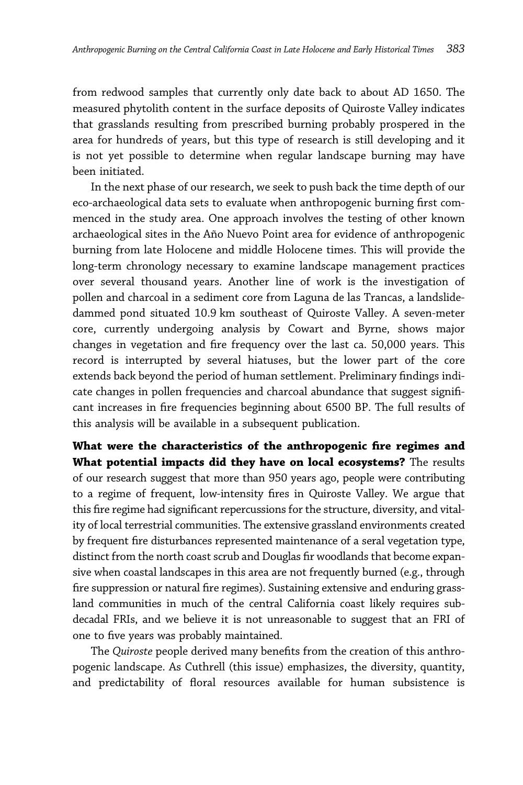from redwood samples that currently only date back to about AD 1650. The measured phytolith content in the surface deposits of Quiroste Valley indicates that grasslands resulting from prescribed burning probably prospered in the area for hundreds of years, but this type of research is still developing and it is not yet possible to determine when regular landscape burning may have been initiated.

In the next phase of our research, we seek to push back the time depth of our eco-archaeological data sets to evaluate when anthropogenic burning first commenced in the study area. One approach involves the testing of other known archaeological sites in the Año Nuevo Point area for evidence of anthropogenic burning from late Holocene and middle Holocene times. This will provide the long-term chronology necessary to examine landscape management practices over several thousand years. Another line of work is the investigation of pollen and charcoal in a sediment core from Laguna de las Trancas, a landslidedammed pond situated 10.9 km southeast of Quiroste Valley. A seven-meter core, currently undergoing analysis by Cowart and Byrne, shows major changes in vegetation and fire frequency over the last ca. 50,000 years. This record is interrupted by several hiatuses, but the lower part of the core extends back beyond the period of human settlement. Preliminary findings indicate changes in pollen frequencies and charcoal abundance that suggest significant increases in fire frequencies beginning about 6500 BP. The full results of this analysis will be available in a subsequent publication.

What were the characteristics of the anthropogenic fire regimes and What potential impacts did they have on local ecosystems? The results of our research suggest that more than 950 years ago, people were contributing to a regime of frequent, low-intensity fires in Quiroste Valley. We argue that this fire regime had significant repercussions for the structure, diversity, and vitality of local terrestrial communities. The extensive grassland environments created by frequent fire disturbances represented maintenance of a seral vegetation type, distinct from the north coast scrub and Douglas fir woodlands that become expansive when coastal landscapes in this area are not frequently burned (e.g., through fire suppression or natural fire regimes). Sustaining extensive and enduring grassland communities in much of the central California coast likely requires subdecadal FRIs, and we believe it is not unreasonable to suggest that an FRI of one to five years was probably maintained.

The Quiroste people derived many benefits from the creation of this anthropogenic landscape. As Cuthrell (this issue) emphasizes, the diversity, quantity, and predictability of floral resources available for human subsistence is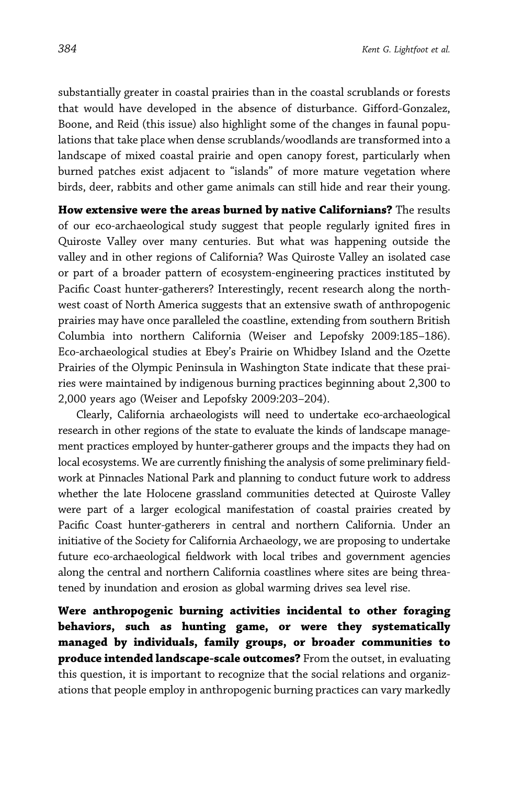substantially greater in coastal prairies than in the coastal scrublands or forests that would have developed in the absence of disturbance. Gifford-Gonzalez, Boone, and Reid (this issue) also highlight some of the changes in faunal populations that take place when dense scrublands/woodlands are transformed into a landscape of mixed coastal prairie and open canopy forest, particularly when burned patches exist adjacent to "islands" of more mature vegetation where birds, deer, rabbits and other game animals can still hide and rear their young.

How extensive were the areas burned by native Californians? The results of our eco-archaeological study suggest that people regularly ignited fires in Quiroste Valley over many centuries. But what was happening outside the valley and in other regions of California? Was Quiroste Valley an isolated case or part of a broader pattern of ecosystem-engineering practices instituted by Pacific Coast hunter-gatherers? Interestingly, recent research along the northwest coast of North America suggests that an extensive swath of anthropogenic prairies may have once paralleled the coastline, extending from southern British Columbia into northern California ([Weiser and Lepofsky 2009:](#page-19-0)185–186). Eco-archaeological studies at Ebey's Prairie on Whidbey Island and the Ozette Prairies of the Olympic Peninsula in Washington State indicate that these prairies were maintained by indigenous burning practices beginning about 2,300 to 2,000 years ago ([Weiser and Lepofsky 2009](#page-19-0):203–204).

Clearly, California archaeologists will need to undertake eco-archaeological research in other regions of the state to evaluate the kinds of landscape management practices employed by hunter-gatherer groups and the impacts they had on local ecosystems. We are currently finishing the analysis of some preliminary fieldwork at Pinnacles National Park and planning to conduct future work to address whether the late Holocene grassland communities detected at Quiroste Valley were part of a larger ecological manifestation of coastal prairies created by Pacific Coast hunter-gatherers in central and northern California. Under an initiative of the Society for California Archaeology, we are proposing to undertake future eco-archaeological fieldwork with local tribes and government agencies along the central and northern California coastlines where sites are being threatened by inundation and erosion as global warming drives sea level rise.

Were anthropogenic burning activities incidental to other foraging behaviors, such as hunting game, or were they systematically managed by individuals, family groups, or broader communities to produce intended landscape-scale outcomes? From the outset, in evaluating this question, it is important to recognize that the social relations and organizations that people employ in anthropogenic burning practices can vary markedly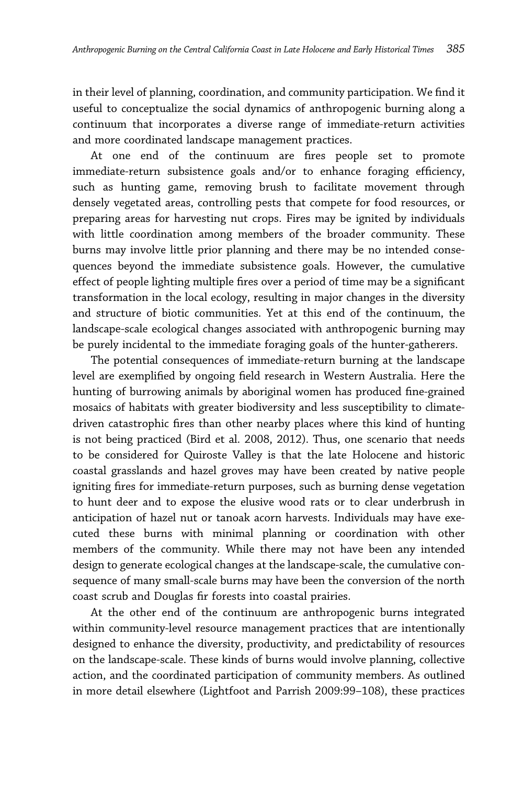in their level of planning, coordination, and community participation. We find it useful to conceptualize the social dynamics of anthropogenic burning along a continuum that incorporates a diverse range of immediate-return activities and more coordinated landscape management practices.

At one end of the continuum are fires people set to promote immediate-return subsistence goals and/or to enhance foraging efficiency, such as hunting game, removing brush to facilitate movement through densely vegetated areas, controlling pests that compete for food resources, or preparing areas for harvesting nut crops. Fires may be ignited by individuals with little coordination among members of the broader community. These burns may involve little prior planning and there may be no intended consequences beyond the immediate subsistence goals. However, the cumulative effect of people lighting multiple fires over a period of time may be a significant transformation in the local ecology, resulting in major changes in the diversity and structure of biotic communities. Yet at this end of the continuum, the landscape-scale ecological changes associated with anthropogenic burning may be purely incidental to the immediate foraging goals of the hunter-gatherers.

The potential consequences of immediate-return burning at the landscape level are exemplified by ongoing field research in Western Australia. Here the hunting of burrowing animals by aboriginal women has produced fine-grained mosaics of habitats with greater biodiversity and less susceptibility to climatedriven catastrophic fires than other nearby places where this kind of hunting is not being practiced ([Bird et al. 2008,](#page-18-0) [2012](#page-17-0)). Thus, one scenario that needs to be considered for Quiroste Valley is that the late Holocene and historic coastal grasslands and hazel groves may have been created by native people igniting fires for immediate-return purposes, such as burning dense vegetation to hunt deer and to expose the elusive wood rats or to clear underbrush in anticipation of hazel nut or tanoak acorn harvests. Individuals may have executed these burns with minimal planning or coordination with other members of the community. While there may not have been any intended design to generate ecological changes at the landscape-scale, the cumulative consequence of many small-scale burns may have been the conversion of the north coast scrub and Douglas fir forests into coastal prairies.

At the other end of the continuum are anthropogenic burns integrated within community-level resource management practices that are intentionally designed to enhance the diversity, productivity, and predictability of resources on the landscape-scale. These kinds of burns would involve planning, collective action, and the coordinated participation of community members. As outlined in more detail elsewhere ([Lightfoot and Parrish 2009:](#page-18-0)99–108), these practices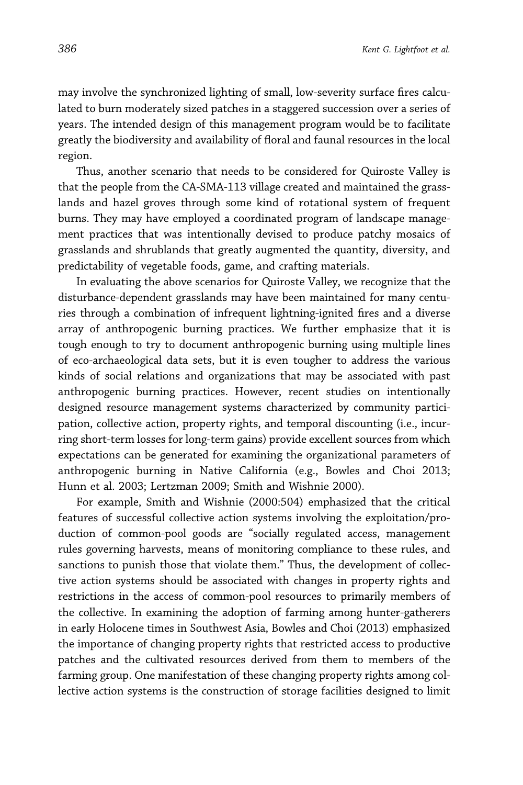may involve the synchronized lighting of small, low-severity surface fires calculated to burn moderately sized patches in a staggered succession over a series of years. The intended design of this management program would be to facilitate greatly the biodiversity and availability of floral and faunal resources in the local region.

Thus, another scenario that needs to be considered for Quiroste Valley is that the people from the CA-SMA-113 village created and maintained the grasslands and hazel groves through some kind of rotational system of frequent burns. They may have employed a coordinated program of landscape management practices that was intentionally devised to produce patchy mosaics of grasslands and shrublands that greatly augmented the quantity, diversity, and predictability of vegetable foods, game, and crafting materials.

In evaluating the above scenarios for Quiroste Valley, we recognize that the disturbance-dependent grasslands may have been maintained for many centuries through a combination of infrequent lightning-ignited fires and a diverse array of anthropogenic burning practices. We further emphasize that it is tough enough to try to document anthropogenic burning using multiple lines of eco-archaeological data sets, but it is even tougher to address the various kinds of social relations and organizations that may be associated with past anthropogenic burning practices. However, recent studies on intentionally designed resource management systems characterized by community participation, collective action, property rights, and temporal discounting (i.e., incurring short-term losses for long-term gains) provide excellent sources from which expectations can be generated for examining the organizational parameters of anthropogenic burning in Native California (e.g., [Bowles and Choi 2013;](#page-18-0) [Hunn et al. 2003; Lertzman 2009](#page-18-0); [Smith and Wishnie 2000\)](#page-18-0).

For example, [Smith and Wishnie \(2000](#page-18-0):504) emphasized that the critical features of successful collective action systems involving the exploitation/production of common-pool goods are "socially regulated access, management rules governing harvests, means of monitoring compliance to these rules, and sanctions to punish those that violate them." Thus, the development of collective action systems should be associated with changes in property rights and restrictions in the access of common-pool resources to primarily members of the collective. In examining the adoption of farming among hunter-gatherers in early Holocene times in Southwest Asia, [Bowles and Choi \(2013\)](#page-18-0) emphasized the importance of changing property rights that restricted access to productive patches and the cultivated resources derived from them to members of the farming group. One manifestation of these changing property rights among collective action systems is the construction of storage facilities designed to limit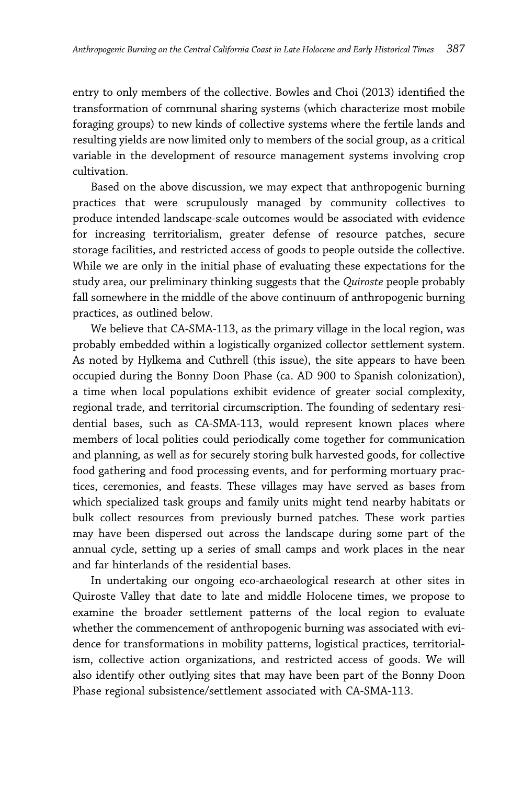entry to only members of the collective. [Bowles and Choi \(2013\)](#page-18-0) identified the transformation of communal sharing systems (which characterize most mobile foraging groups) to new kinds of collective systems where the fertile lands and resulting yields are now limited only to members of the social group, as a critical variable in the development of resource management systems involving crop cultivation.

Based on the above discussion, we may expect that anthropogenic burning practices that were scrupulously managed by community collectives to produce intended landscape-scale outcomes would be associated with evidence for increasing territorialism, greater defense of resource patches, secure storage facilities, and restricted access of goods to people outside the collective. While we are only in the initial phase of evaluating these expectations for the study area, our preliminary thinking suggests that the Quiroste people probably fall somewhere in the middle of the above continuum of anthropogenic burning practices, as outlined below.

We believe that CA-SMA-113, as the primary village in the local region, was probably embedded within a logistically organized collector settlement system. As noted by Hylkema and Cuthrell (this issue), the site appears to have been occupied during the Bonny Doon Phase (ca. AD 900 to Spanish colonization), a time when local populations exhibit evidence of greater social complexity, regional trade, and territorial circumscription. The founding of sedentary residential bases, such as CA-SMA-113, would represent known places where members of local polities could periodically come together for communication and planning, as well as for securely storing bulk harvested goods, for collective food gathering and food processing events, and for performing mortuary practices, ceremonies, and feasts. These villages may have served as bases from which specialized task groups and family units might tend nearby habitats or bulk collect resources from previously burned patches. These work parties may have been dispersed out across the landscape during some part of the annual cycle, setting up a series of small camps and work places in the near and far hinterlands of the residential bases.

In undertaking our ongoing eco-archaeological research at other sites in Quiroste Valley that date to late and middle Holocene times, we propose to examine the broader settlement patterns of the local region to evaluate whether the commencement of anthropogenic burning was associated with evidence for transformations in mobility patterns, logistical practices, territorialism, collective action organizations, and restricted access of goods. We will also identify other outlying sites that may have been part of the Bonny Doon Phase regional subsistence/settlement associated with CA-SMA-113.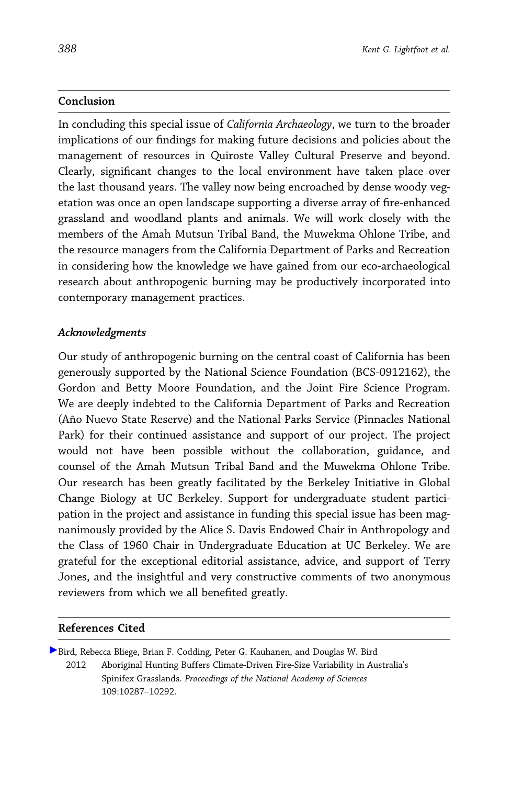## <span id="page-17-0"></span>Conclusion

In concluding this special issue of California Archaeology, we turn to the broader implications of our findings for making future decisions and policies about the management of resources in Quiroste Valley Cultural Preserve and beyond. Clearly, significant changes to the local environment have taken place over the last thousand years. The valley now being encroached by dense woody vegetation was once an open landscape supporting a diverse array of fire-enhanced grassland and woodland plants and animals. We will work closely with the members of the Amah Mutsun Tribal Band, the Muwekma Ohlone Tribe, and the resource managers from the California Department of Parks and Recreation in considering how the knowledge we have gained from our eco-archaeological research about anthropogenic burning may be productively incorporated into contemporary management practices.

## Acknowledgments

Our study of anthropogenic burning on the central coast of California has been generously supported by the National Science Foundation (BCS-0912162), the Gordon and Betty Moore Foundation, and the Joint Fire Science Program. We are deeply indebted to the California Department of Parks and Recreation (Año Nuevo State Reserve) and the National Parks Service (Pinnacles National Park) for their continued assistance and support of our project. The project would not have been possible without the collaboration, guidance, and counsel of the Amah Mutsun Tribal Band and the Muwekma Ohlone Tribe. Our research has been greatly facilitated by the Berkeley Initiative in Global Change Biology at UC Berkeley. Support for undergraduate student participation in the project and assistance in funding this special issue has been magnanimously provided by the Alice S. Davis Endowed Chair in Anthropology and the Class of 1960 Chair in Undergraduate Education at UC Berkeley. We are grateful for the exceptional editorial assistance, advice, and support of Terry Jones, and the insightful and very constructive comments of two anonymous reviewers from which we all benefited greatly.

#### References Cited

Bird, Rebecca Bliege, Brian F. Codding, Peter G. Kauhanen, and Douglas W. Bird 2012 Aboriginal Hunting Buffers Climate-Driven Fire-Size Variability in Australia's Spinifex Grasslands. Proceedings of the National Academy of Sciences 109:10287–10292.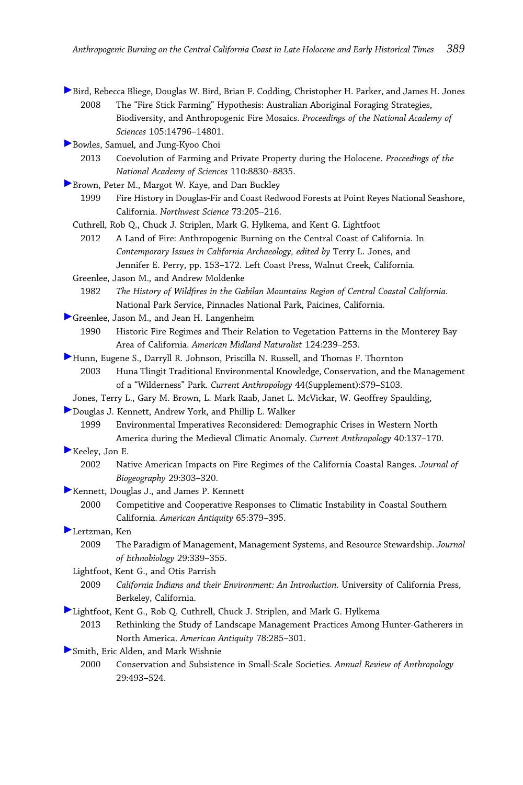- <span id="page-18-0"></span>Bird, Rebecca Bliege, Douglas W. Bird, Brian F. Codding, Christopher H. Parker, and James H. Jones 2008 The "Fire Stick Farming" Hypothesis: Australian Aboriginal Foraging Strategies, Biodiversity, and Anthropogenic Fire Mosaics. Proceedings of the National Academy of Sciences 105:14796–14801.
- Bowles, Samuel, and Jung-Kyoo Choi
	- 2013 Coevolution of Farming and Private Property during the Holocene. Proceedings of the National Academy of Sciences 110:8830–8835.
- Brown, Peter M., Margot W. Kaye, and Dan Buckley
	- 1999 Fire History in Douglas-Fir and Coast Redwood Forests at Point Reyes National Seashore, California. Northwest Science 73:205–216.
	- Cuthrell, Rob Q., Chuck J. Striplen, Mark G. Hylkema, and Kent G. Lightfoot
		- 2012 A Land of Fire: Anthropogenic Burning on the Central Coast of California. In Contemporary Issues in California Archaeology, edited by Terry L. Jones, and Jennifer E. Perry, pp. 153–172. Left Coast Press, Walnut Creek, California.
	- Greenlee, Jason M., and Andrew Moldenke

1982 The History of Wildfires in the Gabilan Mountains Region of Central Coastal California. National Park Service, Pinnacles National Park, Paicines, California.

- Greenlee, Jason M., and Jean H. Langenheim
	- 1990 Historic Fire Regimes and Their Relation to Vegetation Patterns in the Monterey Bay Area of California. American Midland Naturalist 124:239–253.
- Hunn, Eugene S., Darryll R. Johnson, Priscilla N. Russell, and Thomas F. Thornton
	- 2003 Huna Tlingit Traditional Environmental Knowledge, Conservation, and the Management of a "Wilderness" Park. Current Anthropology 44(Supplement):S79–S103.
- Jones, Terry L., Gary M. Brown, L. Mark Raab, Janet L. McVickar, W. Geoffrey Spaulding,

Douglas J. Kennett, Andrew York, and Phillip L. Walker

1999 Environmental Imperatives Reconsidered: Demographic Crises in Western North America during the Medieval Climatic Anomaly. Current Anthropology 40:137–170.

#### Keeley, Jon E.

- 2002 Native American Impacts on Fire Regimes of the California Coastal Ranges. Journal of Biogeography 29:303–320.
- Kennett, Douglas J., and James P. Kennett
	- 2000 Competitive and Cooperative Responses to Climatic Instability in Coastal Southern California. American Antiquity 65:379–395.
- Lertzman, Ken
	- 2009 The Paradigm of Management, Management Systems, and Resource Stewardship. Journal of Ethnobiology 29:339–355.
	- Lightfoot, Kent G., and Otis Parrish
	- 2009 California Indians and their Environment: An Introduction. University of California Press, Berkeley, California.
- Lightfoot, Kent G., Rob Q. Cuthrell, Chuck J. Striplen, and Mark G. Hylkema

2013 Rethinking the Study of Landscape Management Practices Among Hunter-Gatherers in North America. American Antiquity 78:285–301.

- Smith, Eric Alden, and Mark Wishnie
	- 2000 Conservation and Subsistence in Small-Scale Societies. Annual Review of Anthropology 29:493–524.